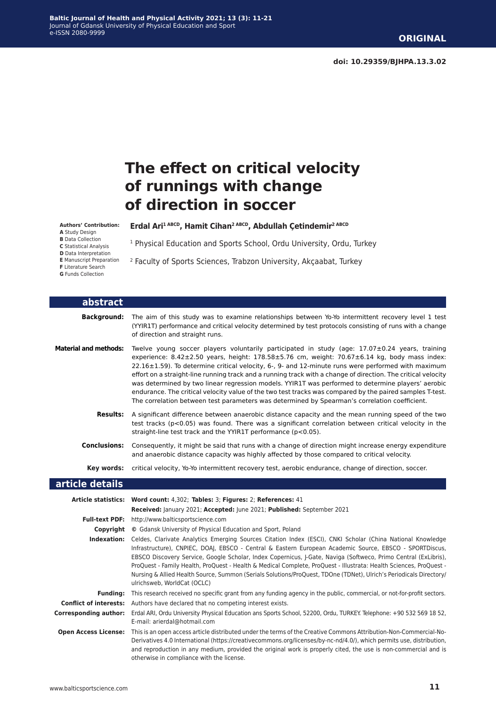**doi: 10.29359/BJHPA.13.3.02**

# **The effect on critical velocity of runnings with change of direction in soccer**

**Authors' Contribution:**

**A** Study Design **B** Data Collection

**C** Statistical Analysis

**D** Data Interpretation

- **E** Manuscript Preparation **F** Literature Search
- **G** Funds Collection

**Erdal Ari1 ABCD, Hamit Cihan2 ABCD, Abdullah Çetindemir2 ABCD**

<sup>1</sup> Physical Education and Sports School, Ordu University, Ordu, Turkey

2 Faculty of Sports Sciences, Trabzon University, Akçaabat, Turkey

| abstract                     |                                                                                                                                                                                                                                                                                                                                                                                                                                                                                                                                                                                                                                                                                                                                                            |
|------------------------------|------------------------------------------------------------------------------------------------------------------------------------------------------------------------------------------------------------------------------------------------------------------------------------------------------------------------------------------------------------------------------------------------------------------------------------------------------------------------------------------------------------------------------------------------------------------------------------------------------------------------------------------------------------------------------------------------------------------------------------------------------------|
| <b>Background:</b>           | The aim of this study was to examine relationships between Yo-Yo intermittent recovery level 1 test<br>(YYIR1T) performance and critical velocity determined by test protocols consisting of runs with a change<br>of direction and straight runs.                                                                                                                                                                                                                                                                                                                                                                                                                                                                                                         |
| <b>Material and methods:</b> | Twelve young soccer players voluntarily participated in study (age: 17.07±0.24 years, training<br>experience: $8.42 \pm 2.50$ years, height: $178.58 \pm 5.76$ cm, weight: $70.67 \pm 6.14$ kg, body mass index:<br>22.16±1.59). To determine critical velocity, 6-, 9- and 12-minute runs were performed with maximum<br>effort on a straight-line running track and a running track with a change of direction. The critical velocity<br>was determined by two linear regression models. YYIR1T was performed to determine players' aerobic<br>endurance. The critical velocity value of the two test tracks was compared by the paired samples T-test.<br>The correlation between test parameters was determined by Spearman's correlation coefficient. |
| <b>Results:</b>              | A significant difference between anaerobic distance capacity and the mean running speed of the two<br>test tracks ( $p<0.05$ ) was found. There was a significant correlation between critical velocity in the<br>straight-line test track and the YYIR1T performance (p<0.05).                                                                                                                                                                                                                                                                                                                                                                                                                                                                            |
| Conclusions:                 | Consequently, it might be said that runs with a change of direction might increase energy expenditure<br>and anaerobic distance capacity was highly affected by those compared to critical velocity.                                                                                                                                                                                                                                                                                                                                                                                                                                                                                                                                                       |
| Key words:                   | critical velocity, Yo-Yo intermittent recovery test, aerobic endurance, change of direction, soccer.                                                                                                                                                                                                                                                                                                                                                                                                                                                                                                                                                                                                                                                       |
| article details              |                                                                                                                                                                                                                                                                                                                                                                                                                                                                                                                                                                                                                                                                                                                                                            |
|                              | Article statistics: Word count: 4,302; Tables: 3; Figures: 2; References: 41<br>Received: January 2021; Accepted: June 2021; Published: September 2021                                                                                                                                                                                                                                                                                                                                                                                                                                                                                                                                                                                                     |
|                              | Full-text PDF: http://www.balticsportscience.com                                                                                                                                                                                                                                                                                                                                                                                                                                                                                                                                                                                                                                                                                                           |
|                              | <b>Copyright</b> © Gdansk University of Physical Education and Sport, Poland                                                                                                                                                                                                                                                                                                                                                                                                                                                                                                                                                                                                                                                                               |
|                              | Indexation: Celdes, Clarivate Analytics Emerging Sources Citation Index (ESCI), CNKI Scholar (China National Knowledge<br>Infrastructure), CNPIEC, DOAJ, EBSCO - Central & Eastern European Academic Source, EBSCO - SPORTDiscus,<br>EBSCO Discovery Service, Google Scholar, Index Copernicus, J-Gate, Naviga (Softweco, Primo Central (ExLibris),<br>ProQuest - Family Health, ProQuest - Health & Medical Complete, ProQuest - Illustrata: Health Sciences, ProQuest -<br>Nursing & Allied Health Source, Summon (Serials Solutions/ProQuest, TDOne (TDNet), Ulrich's Periodicals Directory/<br>ulrichsweb, WorldCat (OCLC)                                                                                                                             |
| <b>Funding:</b>              | This research received no specific grant from any funding agency in the public, commercial, or not-for-profit sectors.                                                                                                                                                                                                                                                                                                                                                                                                                                                                                                                                                                                                                                     |
|                              | <b>Conflict of interests:</b> Authors have declared that no competing interest exists.                                                                                                                                                                                                                                                                                                                                                                                                                                                                                                                                                                                                                                                                     |
| <b>Corresponding author:</b> | Erdal ARI, Ordu University Physical Education ans Sports School, 52200, Ordu, TURKEY. Telephone: +90 532 569 18 52,<br>E-mail: arierdal@hotmail.com                                                                                                                                                                                                                                                                                                                                                                                                                                                                                                                                                                                                        |
| <b>Open Access License:</b>  | This is an open access article distributed under the terms of the Creative Commons Attribution-Non-Commercial-No-<br>Derivatives 4.0 International (https://creativecommons.org/licenses/by-nc-nd/4.0/), which permits use, distribution,<br>and reproduction in any medium, provided the original work is properly cited, the use is non-commercial and is<br>otherwise in compliance with the license.                                                                                                                                                                                                                                                                                                                                                   |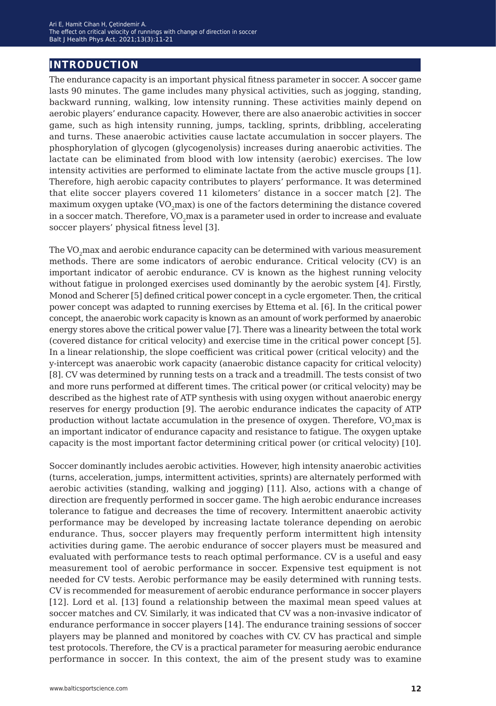# **introduction**

The endurance capacity is an important physical fitness parameter in soccer. A soccer game lasts 90 minutes. The game includes many physical activities, such as jogging, standing, backward running, walking, low intensity running. These activities mainly depend on aerobic players' endurance capacity. However, there are also anaerobic activities in soccer game, such as high intensity running, jumps, tackling, sprints, dribbling, accelerating and turns. These anaerobic activities cause lactate accumulation in soccer players. The phosphorylation of glycogen (glycogenolysis) increases during anaerobic activities. The lactate can be eliminated from blood with low intensity (aerobic) exercises. The low intensity activities are performed to eliminate lactate from the active muscle groups [1]. Therefore, high aerobic capacity contributes to players' performance. It was determined that elite soccer players covered 11 kilometers' distance in a soccer match [2]. The maximum oxygen uptake  $(VO<sub>2</sub>max)$  is one of the factors determining the distance covered in a soccer match. Therefore, VO<sub>2</sub>max is a parameter used in order to increase and evaluate soccer players' physical fitness level [3].

The VO<sub>2</sub>max and aerobic endurance capacity can be determined with various measurement methods. There are some indicators of aerobic endurance. Critical velocity (CV) is an important indicator of aerobic endurance. CV is known as the highest running velocity without fatigue in prolonged exercises used dominantly by the aerobic system [4]. Firstly, Monod and Scherer [5] defined critical power concept in a cycle ergometer. Then, the critical power concept was adapted to running exercises by Ettema et al. [6]. In the critical power concept, the anaerobic work capacity is known as an amount of work performed by anaerobic energy stores above the critical power value [7]. There was a linearity between the total work (covered distance for critical velocity) and exercise time in the critical power concept [5]. In a linear relationship, the slope coefficient was critical power (critical velocity) and the y-intercept was anaerobic work capacity (anaerobic distance capacity for critical velocity) [8]. CV was determined by running tests on a track and a treadmill. The tests consist of two and more runs performed at different times. The critical power (or critical velocity) may be described as the highest rate of ATP synthesis with using oxygen without anaerobic energy reserves for energy production [9]. The aerobic endurance indicates the capacity of ATP production without lactate accumulation in the presence of oxygen. Therefore, VO<sub>2</sub>max is an important indicator of endurance capacity and resistance to fatigue. The oxygen uptake capacity is the most important factor determining critical power (or critical velocity) [10].

Soccer dominantly includes aerobic activities. However, high intensity anaerobic activities (turns, acceleration, jumps, intermittent activities, sprints) are alternately performed with aerobic activities (standing, walking and jogging) [11]. Also, actions with a change of direction are frequently performed in soccer game. The high aerobic endurance increases tolerance to fatigue and decreases the time of recovery. Intermittent anaerobic activity performance may be developed by increasing lactate tolerance depending on aerobic endurance. Thus, soccer players may frequently perform intermittent high intensity activities during game. The aerobic endurance of soccer players must be measured and evaluated with performance tests to reach optimal performance. CV is a useful and easy measurement tool of aerobic performance in soccer. Expensive test equipment is not needed for CV tests. Aerobic performance may be easily determined with running tests. CV is recommended for measurement of aerobic endurance performance in soccer players [12]. Lord et al. [13] found a relationship between the maximal mean speed values at soccer matches and CV. Similarly, it was indicated that CV was a non-invasive indicator of endurance performance in soccer players [14]. The endurance training sessions of soccer players may be planned and monitored by coaches with CV. CV has practical and simple test protocols. Therefore, the CV is a practical parameter for measuring aerobic endurance performance in soccer. In this context, the aim of the present study was to examine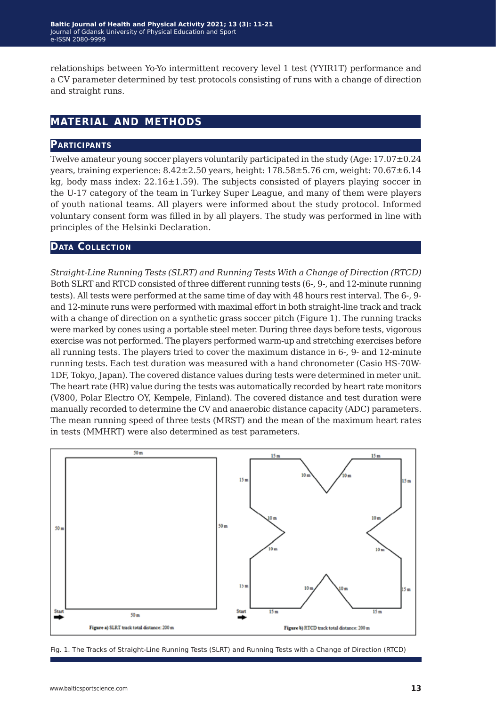relationships between Yo-Yo intermittent recovery level 1 test (YYIR1T) performance and a CV parameter determined by test protocols consisting of runs with a change of direction and straight runs.

# **material and methods**

#### **Participants**

Twelve amateur young soccer players voluntarily participated in the study (Age:  $17.07\pm0.24$ ) years, training experience:  $8.42\pm2.50$  years, height:  $178.58\pm5.76$  cm, weight:  $70.67\pm6.14$ kg, body mass index:  $22.16 \pm 1.59$ ). The subjects consisted of players playing soccer in the U-17 category of the team in Turkey Super League, and many of them were players of youth national teams. All players were informed about the study protocol. Informed voluntary consent form was filled in by all players. The study was performed in line with principles of the Helsinki Declaration.

#### **Data Collection**

*Straight-Line Running Tests (SLRT) and Running Tests With a Change of Direction (RTCD)* Both SLRT and RTCD consisted of three different running tests (6-, 9-, and 12-minute running tests). All tests were performed at the same time of day with 48 hours rest interval. The 6-, 9 and 12-minute runs were performed with maximal effort in both straight-line track and track with a change of direction on a synthetic grass soccer pitch (Figure 1). The running tracks were marked by cones using a portable steel meter. During three days before tests, vigorous exercise was not performed. The players performed warm-up and stretching exercises before all running tests. The players tried to cover the maximum distance in 6-, 9- and 12-minute running tests. Each test duration was measured with a hand chronometer (Casio HS-70W-1DF, Tokyo, Japan). The covered distance values during tests were determined in meter unit. The heart rate (HR) value during the tests was automatically recorded by heart rate monitors (V800, Polar Electro OY, Kempele, Finland). The covered distance and test duration were manually recorded to determine the CV and anaerobic distance capacity (ADC) parameters. The mean running speed of three tests (MRST) and the mean of the maximum heart rates in tests (MMHRT) were also determined as test parameters.



Fig. 1. The Tracks of Straight-Line Running Tests (SLRT) and Running Tests with a Change of Direction (RTCD)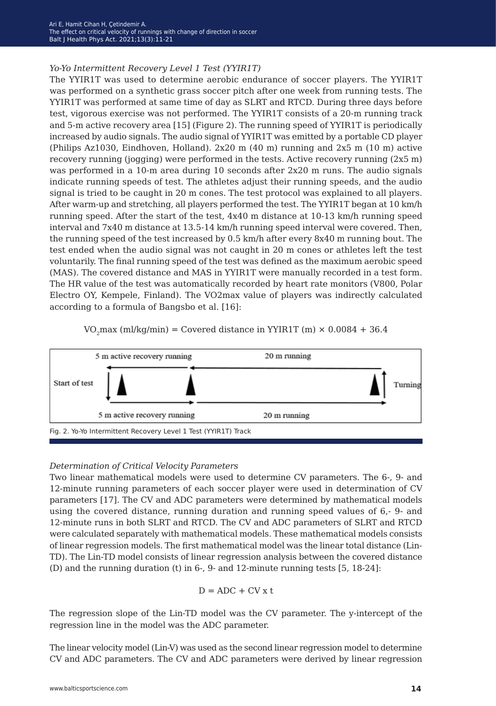#### *Yo-Yo Intermittent Recovery Level 1 Test (YYIR1T)*

The YYIR1T was used to determine aerobic endurance of soccer players. The YYIR1T was performed on a synthetic grass soccer pitch after one week from running tests. The YYIR1T was performed at same time of day as SLRT and RTCD. During three days before test, vigorous exercise was not performed. The YYIR1T consists of a 20-m running track and 5-m active recovery area [15] (Figure 2). The running speed of YYIR1T is periodically increased by audio signals. The audio signal of YYIR1T was emitted by a portable CD player (Philips Az1030, Eindhoven, Holland). 2x20 m (40 m) running and 2x5 m (10 m) active recovery running (jogging) were performed in the tests. Active recovery running (2x5 m) was performed in a 10-m area during 10 seconds after 2x20 m runs. The audio signals indicate running speeds of test. The athletes adjust their running speeds, and the audio signal is tried to be caught in 20 m cones. The test protocol was explained to all players. After warm-up and stretching, all players performed the test. The YYIR1T began at 10 km/h running speed. After the start of the test, 4x40 m distance at 10-13 km/h running speed interval and 7x40 m distance at 13.5-14 km/h running speed interval were covered. Then, the running speed of the test increased by 0.5 km/h after every 8x40 m running bout. The test ended when the audio signal was not caught in 20 m cones or athletes left the test voluntarily. The final running speed of the test was defined as the maximum aerobic speed (MAS). The covered distance and MAS in YYIR1T were manually recorded in a test form. The HR value of the test was automatically recorded by heart rate monitors (V800, Polar Electro OY, Kempele, Finland). The VO2max value of players was indirectly calculated according to a formula of Bangsbo et al. [16]:





#### *Determination of Critical Velocity Parameters*

Two linear mathematical models were used to determine CV parameters. The 6-, 9- and 12-minute running parameters of each soccer player were used in determination of CV parameters [17]. The CV and ADC parameters were determined by mathematical models using the covered distance, running duration and running speed values of 6,- 9- and 12-minute runs in both SLRT and RTCD. The CV and ADC parameters of SLRT and RTCD were calculated separately with mathematical models. These mathematical models consists of linear regression models. The first mathematical model was the linear total distance (Lin-TD). The Lin-TD model consists of linear regression analysis between the covered distance (D) and the running duration (t) in 6-, 9- and 12-minute running tests [5, 18-24]:

$$
D = ADC + CV x t
$$

The regression slope of the Lin-TD model was the CV parameter. The y-intercept of the regression line in the model was the ADC parameter.

The linear velocity model (Lin-V) was used as the second linear regression model to determine CV and ADC parameters. The CV and ADC parameters were derived by linear regression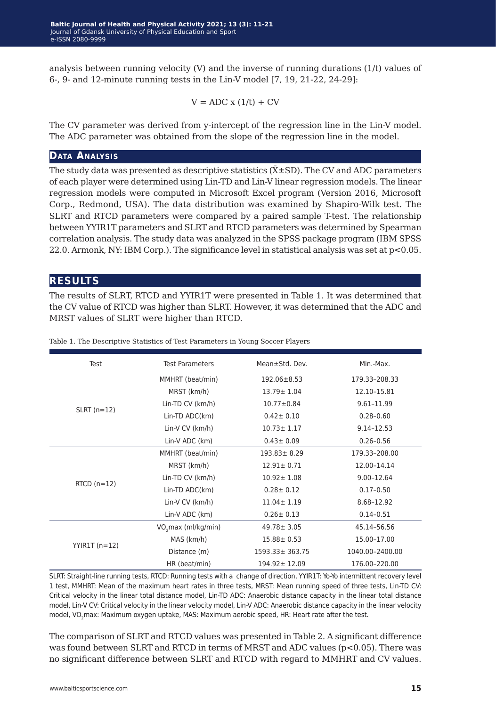analysis between running velocity (V) and the inverse of running durations (1/t) values of 6-, 9- and 12-minute running tests in the Lin-V model [7, 19, 21-22, 24-29]:

$$
V = ADC x (1/t) + CV
$$

The CV parameter was derived from y-intercept of the regression line in the Lin-V model. The ADC parameter was obtained from the slope of the regression line in the model.

#### **Data Analysis**

The study data was presented as descriptive statistics ( $\bar{\text{X}}\text{\pm}\text{SD}$ ). The CV and ADC parameters of each player were determined using Lin-TD and Lin-V linear regression models. The linear regression models were computed in Microsoft Excel program (Version 2016, Microsoft Corp., Redmond, USA). The data distribution was examined by Shapiro-Wilk test. The SLRT and RTCD parameters were compared by a paired sample T-test. The relationship between YYIR1T parameters and SLRT and RTCD parameters was determined by Spearman correlation analysis. The study data was analyzed in the SPSS package program (IBM SPSS 22.0. Armonk, NY: IBM Corp.). The significance level in statistical analysis was set at p<0.05.

### **results**

The results of SLRT, RTCD and YYIR1T were presented in Table 1. It was determined that the CV value of RTCD was higher than SLRT. However, it was determined that the ADC and MRST values of SLRT were higher than RTCD.

| Test              | <b>Test Parameters</b>          | Mean±Std. Dev.       | Min.-Max.       |  |
|-------------------|---------------------------------|----------------------|-----------------|--|
|                   | MMHRT (beat/min)                | $192.06 \pm 8.53$    | 179.33-208.33   |  |
|                   | MRST (km/h)                     | $13.79 \pm 1.04$     | 12.10-15.81     |  |
|                   | Lin-TD CV (km/h)                | $10.77 \pm 0.84$     | 9.61-11.99      |  |
| $SLRT$ (n=12)     | Lin-TD ADC(km)                  | $0.42 \pm 0.10$      | $0.28 - 0.60$   |  |
|                   | Lin-V CV (km/h)                 | $10.73 \pm 1.17$     | $9.14 - 12.53$  |  |
|                   | Lin-V ADC (km)                  | $0.43 \pm 0.09$      | $0.26 - 0.56$   |  |
|                   | MMHRT (beat/min)                | $193.83 \pm 8.29$    | 179.33-208.00   |  |
|                   | MRST (km/h)                     | $12.91 \pm 0.71$     | 12.00-14.14     |  |
| $RTCD$ ( $n=12$ ) | Lin-TD CV (km/h)                | $10.92 \pm 1.08$     | 9.00-12.64      |  |
|                   | Lin-TD ADC(km)                  | $0.28 \pm 0.12$      | $0.17 - 0.50$   |  |
|                   | Lin-V $CV$ ( $km/h$ )           | $11.04 \pm 1.19$     | 8.68-12.92      |  |
|                   | Lin-V ADC (km)                  | $0.26 \pm 0.13$      | $0.14 - 0.51$   |  |
|                   | VO <sub>2</sub> max (ml/kg/min) | $49.78 \pm 3.05$     | 45.14-56.56     |  |
|                   | MAS (km/h)                      | $15.88 \pm 0.53$     | 15.00-17.00     |  |
| $YYIR1T(n=12)$    | Distance (m)                    | $1593.33 \pm 363.75$ | 1040.00-2400.00 |  |
|                   | HR (beat/min)                   | $194.92 \pm 12.09$   | 176.00-220.00   |  |

Table 1. The Descriptive Statistics of Test Parameters in Young Soccer Players

SLRT: Straight-line running tests, RTCD: Running tests with a change of direction, YYIR1T: Yo-Yo intermittent recovery level 1 test, MMHRT: Mean of the maximum heart rates in three tests, MRST: Mean running speed of three tests, Lin-TD CV: Critical velocity in the linear total distance model, Lin-TD ADC: Anaerobic distance capacity in the linear total distance model, Lin-V CV: Critical velocity in the linear velocity model, Lin-V ADC: Anaerobic distance capacity in the linear velocity model, VO<sub>2</sub>max: Maximum oxygen uptake, MAS: Maximum aerobic speed, HR: Heart rate after the test.

The comparison of SLRT and RTCD values was presented in Table 2. A significant difference was found between SLRT and RTCD in terms of MRST and ADC values ( $p<0.05$ ). There was no significant difference between SLRT and RTCD with regard to MMHRT and CV values.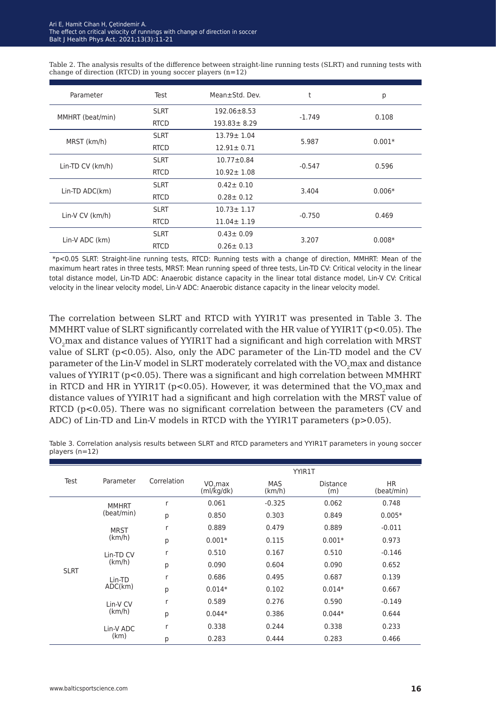Table 2. The analysis results of the difference between straight-line running tests (SLRT) and running tests with change of direction (RTCD) in young soccer players (n=12)

| Parameter        | Test        | Mean±Std. Dev.    | t        | р        |  |
|------------------|-------------|-------------------|----------|----------|--|
|                  | <b>SLRT</b> | $192.06 \pm 8.53$ | $-1.749$ | 0.108    |  |
| MMHRT (beat/min) | <b>RTCD</b> | $193.83 \pm 8.29$ |          |          |  |
|                  | <b>SLRT</b> | $13.79 \pm 1.04$  | 5.987    |          |  |
| MRST (km/h)      | <b>RTCD</b> | $12.91 \pm 0.71$  |          | $0.001*$ |  |
|                  | <b>SLRT</b> | $10.77 \pm 0.84$  |          |          |  |
| Lin-TD CV (km/h) | <b>RTCD</b> | $10.92 \pm 1.08$  | $-0.547$ | 0.596    |  |
|                  | <b>SLRT</b> | $0.42 \pm 0.10$   | 3.404    |          |  |
| Lin-TD ADC(km)   | <b>RTCD</b> | $0.28 \pm 0.12$   |          | $0.006*$ |  |
|                  | <b>SLRT</b> | $10.73 \pm 1.17$  |          |          |  |
| Lin-V CV (km/h)  | <b>RTCD</b> | $11.04 \pm 1.19$  | $-0.750$ | 0.469    |  |
|                  | <b>SLRT</b> | $0.43 \pm 0.09$   | 3.207    |          |  |
| Lin-V ADC (km)   | <b>RTCD</b> | $0.26 \pm 0.13$   |          | $0.008*$ |  |

 \*p<0.05 SLRT: Straight-line running tests, RTCD: Running tests with a change of direction, MMHRT: Mean of the maximum heart rates in three tests, MRST: Mean running speed of three tests, Lin-TD CV: Critical velocity in the linear total distance model, Lin-TD ADC: Anaerobic distance capacity in the linear total distance model, Lin-V CV: Critical velocity in the linear velocity model, Lin-V ADC: Anaerobic distance capacity in the linear velocity model.

The correlation between SLRT and RTCD with YYIR1T was presented in Table 3. The MMHRT value of SLRT significantly correlated with the HR value of YYIR1T ( $p$ <0.05). The VO<sub>2</sub>max and distance values of YYIR1T had a significant and high correlation with MRST value of SLRT ( $p<0.05$ ). Also, only the ADC parameter of the Lin-TD model and the CV parameter of the Lin-V model in SLRT moderately correlated with the VO<sub>2</sub>max and distance values of YYIR1T (p<0.05). There was a significant and high correlation between MMHRT in RTCD and HR in YYIR1T ( $p<0.05$ ). However, it was determined that the VO<sub>2</sub>max and distance values of YYIR1T had a significant and high correlation with the MRST value of RTCD (p<0.05). There was no significant correlation between the parameters (CV and ADC) of Lin-TD and Lin-V models in RTCD with the YYIR1T parameters (p>0.05).

Table 3. Correlation analysis results between SLRT and RTCD parameters and YYIR1T parameters in young soccer players (n=12)

|             |              |             |                                   | <b>YYIR1T</b>        |                        |                         |
|-------------|--------------|-------------|-----------------------------------|----------------------|------------------------|-------------------------|
| Test        | Parameter    | Correlation | VO <sub>2</sub> max<br>(mI/kg/dk) | <b>MAS</b><br>(km/h) | <b>Distance</b><br>(m) | <b>HR</b><br>(beat/min) |
| <b>SLRT</b> | <b>MMHRT</b> | r           | 0.061                             | $-0.325$             | 0.062                  | 0.748                   |
|             | (beat/min)   | p           | 0.850                             | 0.303                | 0.849                  | $0.005*$                |
|             | <b>MRST</b>  | r           | 0.889                             | 0.479                | 0.889                  | $-0.011$                |
|             | (km/h)       | p           | $0.001*$                          | 0.115                | $0.001*$               | 0.973                   |
|             | Lin-TD CV    | r           | 0.510                             | 0.167                | 0.510                  | $-0.146$                |
|             | (km/h)       | p           | 0.090                             | 0.604                | 0.090                  | 0.652                   |
|             | Lin-TD       | r           | 0.686                             | 0.495                | 0.687                  | 0.139                   |
|             | ADC(km)      | p           | $0.014*$                          | 0.102                | $0.014*$               | 0.667                   |
|             | Lin-V CV     | r           | 0.589                             | 0.276                | 0.590                  | $-0.149$                |
|             | (km/h)       | p           | $0.044*$                          | 0.386                | $0.044*$               | 0.644                   |
|             | Lin-V ADC    | r           | 0.338                             | 0.244                | 0.338                  | 0.233                   |
|             | (km)         | p           | 0.283                             | 0.444                | 0.283                  | 0.466                   |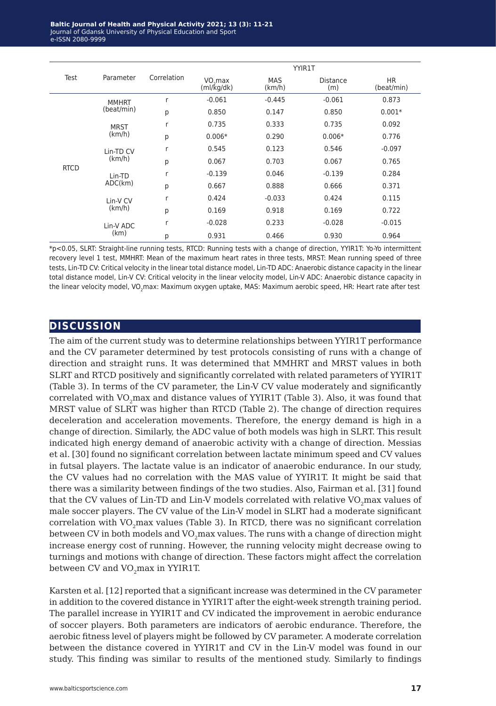|             | Parameter         | <b>YYIR1T</b> |                                   |                      |                 |                         |
|-------------|-------------------|---------------|-----------------------------------|----------------------|-----------------|-------------------------|
| Test        |                   | Correlation   | VO <sub>2</sub> max<br>(mI/kg/dk) | <b>MAS</b><br>(km/h) | Distance<br>(m) | <b>HR</b><br>(beat/min) |
| <b>RTCD</b> | <b>MMHRT</b>      | r             | $-0.061$                          | $-0.445$             | $-0.061$        | 0.873                   |
|             | (beat/min)        | p             | 0.850                             | 0.147                | 0.850           | $0.001*$                |
|             | <b>MRST</b>       | r             | 0.735                             | 0.333                | 0.735           | 0.092                   |
|             | (km/h)            | p             | $0.006*$                          | 0.290                | $0.006*$        | 0.776                   |
|             | Lin-TD CV         | r             | 0.545                             | 0.123                | 0.546           | $-0.097$                |
|             | (km/h)            | p             | 0.067                             | 0.703                | 0.067           | 0.765                   |
|             | Lin-TD            | r             | $-0.139$                          | 0.046                | $-0.139$        | 0.284                   |
|             | ADC(km)           | p             | 0.667                             | 0.888                | 0.666           | 0.371                   |
|             | Lin-V CV          | r             | 0.424                             | $-0.033$             | 0.424           | 0.115                   |
|             | (km/h)            | p             | 0.169                             | 0.918                | 0.169           | 0.722                   |
|             | Lin-V ADC<br>(km) | r             | $-0.028$                          | 0.233                | $-0.028$        | $-0.015$                |
|             |                   | p             | 0.931                             | 0.466                | 0.930           | 0.964                   |

\*p<0.05, SLRT: Straight-line running tests, RTCD: Running tests with a change of direction, YYIR1T: Yo-Yo intermittent recovery level 1 test, MMHRT: Mean of the maximum heart rates in three tests, MRST: Mean running speed of three tests, Lin-TD CV: Critical velocity in the linear total distance model, Lin-TD ADC: Anaerobic distance capacity in the linear total distance model, Lin-V CV: Critical velocity in the linear velocity model, Lin-V ADC: Anaerobic distance capacity in the linear velocity model, VO<sub>2</sub>max: Maximum oxygen uptake, MAS: Maximum aerobic speed, HR: Heart rate after test

#### **discussion**

The aim of the current study was to determine relationships between YYIR1T performance and the CV parameter determined by test protocols consisting of runs with a change of direction and straight runs. It was determined that MMHRT and MRST values in both SLRT and RTCD positively and significantly correlated with related parameters of YYIR1T (Table 3). In terms of the CV parameter, the Lin-V CV value moderately and significantly correlated with VO<sub>2</sub>max and distance values of YYIR1T (Table 3). Also, it was found that MRST value of SLRT was higher than RTCD (Table 2). The change of direction requires deceleration and acceleration movements. Therefore, the energy demand is high in a change of direction. Similarly, the ADC value of both models was high in SLRT. This result indicated high energy demand of anaerobic activity with a change of direction. Messias et al. [30] found no significant correlation between lactate minimum speed and CV values in futsal players. The lactate value is an indicator of anaerobic endurance. In our study, the CV values had no correlation with the MAS value of YYIR1T. It might be said that there was a similarity between findings of the two studies. Also, Fairman et al. [31] found that the CV values of Lin-TD and Lin-V models correlated with relative VO<sub>2</sub>max values of male soccer players. The CV value of the Lin-V model in SLRT had a moderate significant correlation with  $VO<sub>2</sub>$  max values (Table 3). In RTCD, there was no significant correlation between CV in both models and VO<sub>2</sub>max values. The runs with a change of direction might increase energy cost of running. However, the running velocity might decrease owing to turnings and motions with change of direction. These factors might affect the correlation between CV and VO<sub>2</sub>max in YYIR1T.

Karsten et al. [12] reported that a significant increase was determined in the CV parameter in addition to the covered distance in YYIR1T after the eight-week strength training period. The parallel increase in YYIR1T and CV indicated the improvement in aerobic endurance of soccer players. Both parameters are indicators of aerobic endurance. Therefore, the aerobic fitness level of players might be followed by CV parameter. A moderate correlation between the distance covered in YYIR1T and CV in the Lin-V model was found in our study. This finding was similar to results of the mentioned study. Similarly to findings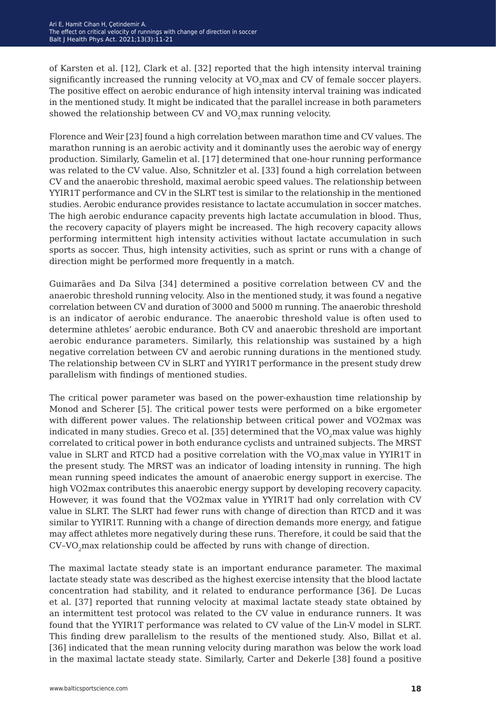of Karsten et al. [12], Clark et al. [32] reported that the high intensity interval training significantly increased the running velocity at VO<sub>2</sub>max and CV of female soccer players. The positive effect on aerobic endurance of high intensity interval training was indicated in the mentioned study. It might be indicated that the parallel increase in both parameters showed the relationship between CV and VO<sub>2</sub>max running velocity.

Florence and Weir [23] found a high correlation between marathon time and CV values. The marathon running is an aerobic activity and it dominantly uses the aerobic way of energy production. Similarly, Gamelin et al. [17] determined that one-hour running performance was related to the CV value. Also, Schnitzler et al. [33] found a high correlation between CV and the anaerobic threshold, maximal aerobic speed values. The relationship between YYIR1T performance and CV in the SLRT test is similar to the relationship in the mentioned studies. Aerobic endurance provides resistance to lactate accumulation in soccer matches. The high aerobic endurance capacity prevents high lactate accumulation in blood. Thus, the recovery capacity of players might be increased. The high recovery capacity allows performing intermittent high intensity activities without lactate accumulation in such sports as soccer. Thus, high intensity activities, such as sprint or runs with a change of direction might be performed more frequently in a match.

Guimarães and Da Silva [34] determined a positive correlation between CV and the anaerobic threshold running velocity. Also in the mentioned study, it was found a negative correlation between CV and duration of 3000 and 5000 m running. The anaerobic threshold is an indicator of aerobic endurance. The anaerobic threshold value is often used to determine athletes' aerobic endurance. Both CV and anaerobic threshold are important aerobic endurance parameters. Similarly, this relationship was sustained by a high negative correlation between CV and aerobic running durations in the mentioned study. The relationship between CV in SLRT and YYIR1T performance in the present study drew parallelism with findings of mentioned studies.

The critical power parameter was based on the power-exhaustion time relationship by Monod and Scherer [5]. The critical power tests were performed on a bike ergometer with different power values. The relationship between critical power and VO2max was indicated in many studies. Greco et al. [35] determined that the VO<sub>2</sub>max value was highly correlated to critical power in both endurance cyclists and untrained subjects. The MRST value in SLRT and RTCD had a positive correlation with the VO<sub>2</sub>max value in YYIR1T in the present study. The MRST was an indicator of loading intensity in running. The high mean running speed indicates the amount of anaerobic energy support in exercise. The high VO2max contributes this anaerobic energy support by developing recovery capacity. However, it was found that the VO2max value in YYIR1T had only correlation with CV value in SLRT. The SLRT had fewer runs with change of direction than RTCD and it was similar to YYIR1T. Running with a change of direction demands more energy, and fatigue may affect athletes more negatively during these runs. Therefore, it could be said that the CV-VO<sub>2</sub>max relationship could be affected by runs with change of direction.

The maximal lactate steady state is an important endurance parameter. The maximal lactate steady state was described as the highest exercise intensity that the blood lactate concentration had stability, and it related to endurance performance [36]. De Lucas et al. [37] reported that running velocity at maximal lactate steady state obtained by an intermittent test protocol was related to the CV value in endurance runners. It was found that the YYIR1T performance was related to CV value of the Lin-V model in SLRT. This finding drew parallelism to the results of the mentioned study. Also, Billat et al. [36] indicated that the mean running velocity during marathon was below the work load in the maximal lactate steady state. Similarly, Carter and Dekerle [38] found a positive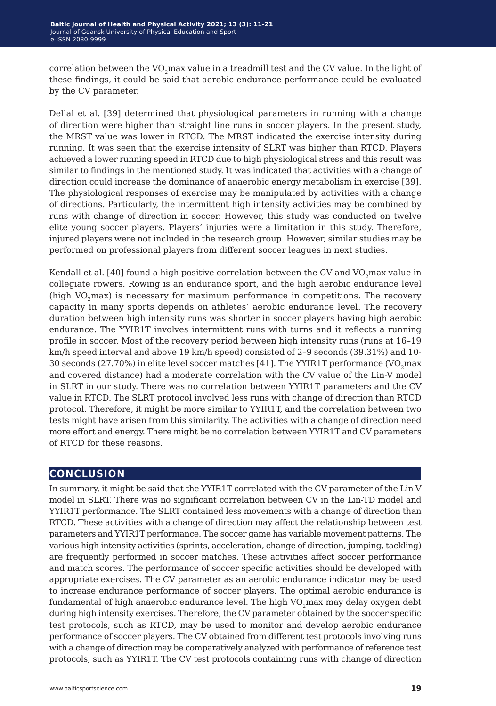correlation between the  $VO_2$ max value in a treadmill test and the CV value. In the light of these findings, it could be said that aerobic endurance performance could be evaluated by the CV parameter.

Dellal et al. [39] determined that physiological parameters in running with a change of direction were higher than straight line runs in soccer players. In the present study, the MRST value was lower in RTCD. The MRST indicated the exercise intensity during running. It was seen that the exercise intensity of SLRT was higher than RTCD. Players achieved a lower running speed in RTCD due to high physiological stress and this result was similar to findings in the mentioned study. It was indicated that activities with a change of direction could increase the dominance of anaerobic energy metabolism in exercise [39]. The physiological responses of exercise may be manipulated by activities with a change of directions. Particularly, the intermittent high intensity activities may be combined by runs with change of direction in soccer. However, this study was conducted on twelve elite young soccer players. Players' injuries were a limitation in this study. Therefore, injured players were not included in the research group. However, similar studies may be performed on professional players from different soccer leagues in next studies.

Kendall et al.  $[40]$  found a high positive correlation between the CV and VO<sub>2</sub>max value in collegiate rowers. Rowing is an endurance sport, and the high aerobic endurance level (high VO<sub>2</sub>max) is necessary for maximum performance in competitions. The recovery capacity in many sports depends on athletes' aerobic endurance level. The recovery duration between high intensity runs was shorter in soccer players having high aerobic endurance. The YYIR1T involves intermittent runs with turns and it reflects a running profile in soccer. Most of the recovery period between high intensity runs (runs at 16–19 km/h speed interval and above 19 km/h speed) consisted of 2–9 seconds (39.31%) and 10- 30 seconds (27.70%) in elite level soccer matches [41]. The YYIR1T performance (VO<sub>2</sub>max and covered distance) had a moderate correlation with the CV value of the Lin-V model in SLRT in our study. There was no correlation between YYIR1T parameters and the CV value in RTCD. The SLRT protocol involved less runs with change of direction than RTCD protocol. Therefore, it might be more similar to YYIR1T, and the correlation between two tests might have arisen from this similarity. The activities with a change of direction need more effort and energy. There might be no correlation between YYIR1T and CV parameters of RTCD for these reasons.

## **conclusion**

In summary, it might be said that the YYIR1T correlated with the CV parameter of the Lin-V model in SLRT. There was no significant correlation between CV in the Lin-TD model and YYIR1T performance. The SLRT contained less movements with a change of direction than RTCD. These activities with a change of direction may affect the relationship between test parameters and YYIR1T performance. The soccer game has variable movement patterns. The various high intensity activities (sprints, acceleration, change of direction, jumping, tackling) are frequently performed in soccer matches. These activities affect soccer performance and match scores. The performance of soccer specific activities should be developed with appropriate exercises. The CV parameter as an aerobic endurance indicator may be used to increase endurance performance of soccer players. The optimal aerobic endurance is fundamental of high anaerobic endurance level. The high VO<sub>2</sub>max may delay oxygen debt during high intensity exercises. Therefore, the CV parameter obtained by the soccer specific test protocols, such as RTCD, may be used to monitor and develop aerobic endurance performance of soccer players. The CV obtained from different test protocols involving runs with a change of direction may be comparatively analyzed with performance of reference test protocols, such as YYIR1T. The CV test protocols containing runs with change of direction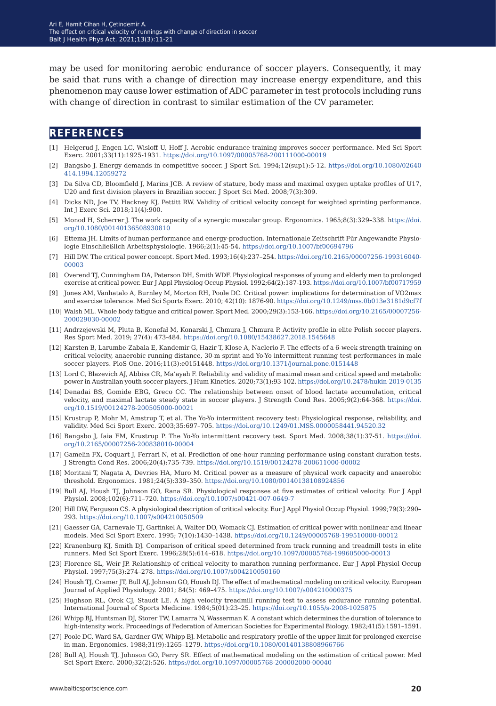may be used for monitoring aerobic endurance of soccer players. Consequently, it may be said that runs with a change of direction may increase energy expenditure, and this phenomenon may cause lower estimation of ADC parameter in test protocols including runs with change of direction in contrast to similar estimation of the CV parameter.

### **references**

- [1] Helgerud J, Engen LC, Wisloff U, Hoff J. Aerobic endurance training improves soccer performance. Med Sci Sport Exerc. 2001;33(11):1925-1931. [https://doi.org/10.1097/00005768-200111000-00019](https://doi.org/10.1097/00005768-200111000-00019 )
- [2] Bangsbo J. Energy demands in competitive soccer. J Sport Sci. 1994;12(sup1):5-12. [https://doi.org/10.1080/02640](https://doi.org/10.1080/02640414.1994.12059272) [414.1994.12059272](https://doi.org/10.1080/02640414.1994.12059272)
- [3] Da Silva CD, Bloomfield J, Marins JCB. A review of stature, body mass and maximal oxygen uptake profiles of U17, U20 and first division players in Brazilian soccer. J Sport Sci Med. 2008;7(3):309.
- [4] Dicks ND, Joe TV, Hackney KJ, Pettitt RW. Validity of critical velocity concept for weighted sprinting performance. Int J Exerc Sci. 2018;11(4):900.
- [5] Monod H, Scherrer J. The work capacity of a synergic muscular group. Ergonomics. 1965;8(3):329–338. h[ttps://doi.](ttps://doi.org/10.1080/00140136508930810 ) [org/10.1080/00140136508930810](ttps://doi.org/10.1080/00140136508930810 )
- [6] Ettema JH. Limits of human performance and energy-production. Internationale Zeitschrift Für Angewandte Physiologie Einschließlich Arbeitsphysiologie. 1966;2(1):45-54.<https://doi.org/10.1007/bf00694796>
- [7] Hill DW. The critical power concept. Sport Med. 1993;16(4):237–254. [https://doi.org/10.2165/00007256-199316040-](https://doi.org/10.2165/00007256-199316040-00003 ) [00003](https://doi.org/10.2165/00007256-199316040-00003 )
- [8] Overend TJ, Cunningham DA, Paterson DH, Smith WDF. Physiological responses of young and elderly men to prolonged exercise at critical power. Eur J Appl Physiolog Occup Physiol. 1992;64(2):187-193.<https://doi.org/10.1007/bf00717959>
- [9] Jones AM, Vanhatalo A, Burnley M, Morton RH, Poole DC. Critical power: implications for determination of VO2max and exercise tolerance. Med Sci Sports Exerc. 2010; 42(10): 1876-90.<https://doi.org/10.1249/mss.0b013e3181d9cf7f>
- [10] Walsh ML. Whole body fatigue and critical power. Sport Med. 2000;29(3):153-166. [https://doi.org/10.2165/00007256-](https://doi.org/10.2165/00007256-200029030-00002) [200029030-00002](https://doi.org/10.2165/00007256-200029030-00002)
- [11] Andrzejewski M, Pluta B, Konefał M, Konarski J, Chmura J, Chmura P. Activity profile in elite Polish soccer players. Res Sport Med. 2019; 27(4): 473-484.<https://doi.org/10.1080/15438627.2018.1545648>
- [12] Karsten B, Larumbe-Zabala E, Kandemir G, Hazir T, Klose A, Naclerio F. The effects of a 6-week strength training on critical velocity, anaerobic running distance, 30-m sprint and Yo-Yo intermittent running test performances in male soccer players. PloS One. 2016;11(3):e0151448. [https://doi.org/10.1371/journal.pone.0151448](https://doi.org/10.1371/journal.pone.0151448 )
- [13] Lord C, Blazevich AJ, Abbiss CR, Ma'ayah F. Reliability and validity of maximal mean and critical speed and metabolic power in Australian youth soccer players. J Hum Kinetics. 2020;73(1):93-102.<https://doi.org/10.2478/hukin-2019-0135>
- [14] Denadai BS, Gomide EBG, Greco CC. The relationship between onset of blood lactate accumulation, critical velocity, and maximal lactate steady state in soccer players. J Strength Cond Res. 2005;9(2):64-368. [https://doi.](https://doi.org/10.1519/00124278-200505000-00021) [org/10.1519/00124278-200505000-00021](https://doi.org/10.1519/00124278-200505000-00021)
- [15] Krustrup P, Mohr M, Amstrup T, et al. The Yo-Yo intermittent recovery test: Physiological response, reliability, and validity. Med Sci Sport Exerc. 2003;35:697–705.<https://doi.org/10.1249/01.MSS.0000058441.94520.32>
- [16] Bangsbo J, Iaia FM, Krustrup P. The Yo-Yo intermittent recovery test. Sport Med. 2008;38(1):37-51. [https://doi.](https://doi.org/10.2165/00007256-200838010-00004) [org/10.2165/00007256-200838010-00004](https://doi.org/10.2165/00007256-200838010-00004)
- [17] Gamelin FX, Coquart J, Ferrari N, et al. Prediction of one-hour running performance using constant duration tests. J Strength Cond Res. 2006;20(4):735-739.<https://doi.org/10.1519/00124278-200611000-00002>
- [18] Moritani T, Nagata A, Devries HA, Muro M. Critical power as a measure of physical work capacity and anaerobic threshold. Ergonomics. 1981;24(5):339–350.<https://doi.org/10.1080/00140138108924856>
- [19] Bull AJ, Housh TJ, Johnson GO, Rana SR. Physiological responses at five estimates of critical velocity. Eur J Appl Physiol. 2008;102(6):711–720. <https://doi.org/10.1007/s00421-007-0649-7>
- [20] Hill DW, Ferguson CS. A physiological description of critical velocity. Eur J Appl Physiol Occup Physiol. 1999;79(3):290– 293.<https://doi.org/10.1007/s004210050509>
- [21] Gaesser GA, Carnevale TJ, Garfinkel A, Walter DO, Womack CJ. Estimation of critical power with nonlinear and linear models. Med Sci Sport Exerc. 1995; 7(10):1430–1438.<https://doi.org/10.1249/00005768-199510000-00012>
- [22] Kranenburg KJ, Smith DJ. Comparison of critical speed determined from track running and treadmill tests in elite runners. Med Sci Sport Exerc. 1996;28(5):614–618. <https://doi.org/10.1097/00005768-199605000-00013>
- [23] Florence SL, Weir JP. Relationship of critical velocity to marathon running performance. Eur J Appl Physiol Occup Physiol. 1997;75(3):274–278.<https://doi.org/10.1007/s004210050160>
- [24] Housh TJ, Cramer JT, Bull AJ, Johnson GO, Housh DJ. The effect of mathematical modeling on critical velocity. European Journal of Applied Physiology. 2001; 84(5): 469–475. <https://doi.org/10.1007/s004210000375>
- [25] Hughson RL, Orok CJ, Staudt LE. A high velocity treadmill running test to assess endurance running potential. International Journal of Sports Medicine. 1984;5(01):23–25. <https://doi.org/10.1055/s-2008-1025875>
- [26] Whipp BJ, Huntsman DJ, Storer TW, Lamarra N, Wasserman K. A constant which determines the duration of tolerance to high-intensity work. Proceedings of Federation of American Societies for Experimental Biology. 1982;41(5):1591–1591.
- [27] Poole DC, Ward SA, Gardner GW, Whipp BJ. Metabolic and respiratory profile of the upper limit for prolonged exercise in man. Ergonomics. 1988;31(9):1265–1279. <https://doi.org/10.1080/00140138808966766>
- [28] Bull AJ, Housh TJ, Johnson GO, Perry SR. Effect of mathematical modeling on the estimation of critical power. Med Sci Sport Exerc. 2000;32(2):526.<https://doi.org/10.1097/00005768-200002000-00040>